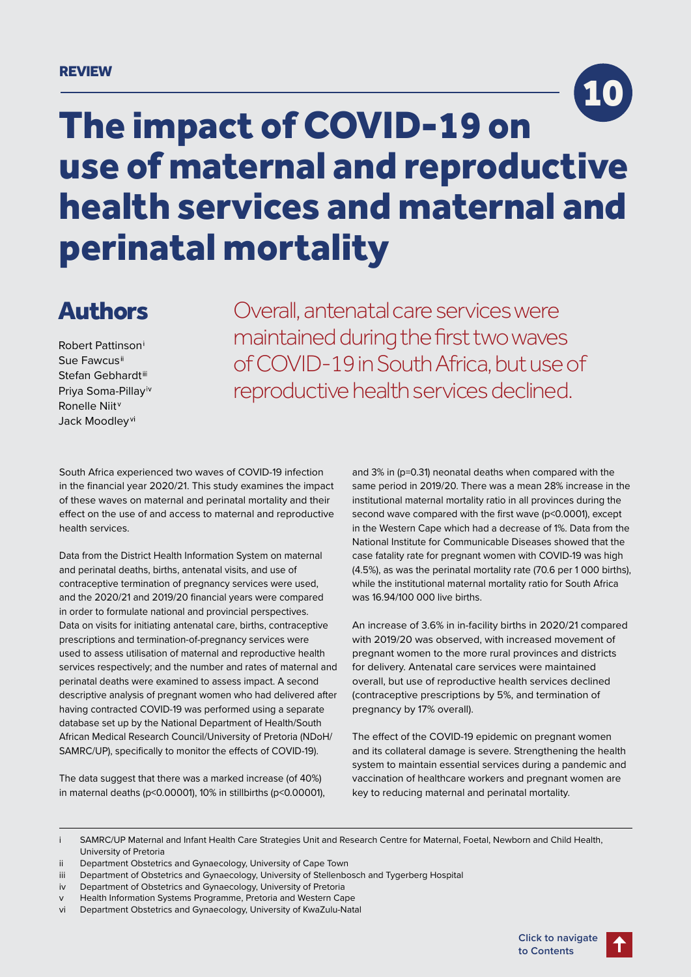### REVIEW



# The impact of COVID-19 on use of maternal and reproductive health services and maternal and perinatal mortality

# Authors

Robert Pattinson Sue Fawcus Stefan Gebhardt Priya Soma-Pillay Ronelle Niit Jack Moodlev<sup>vi</sup>

Overall, antenatal care services were maintained during the first two waves of COVID-19 in South Africa, but use of reproductive health services declined.

South Africa experienced two waves of COVID-19 infection in the financial year 2020/21. This study examines the impact of these waves on maternal and perinatal mortality and their effect on the use of and access to maternal and reproductive health services.

Data from the District Health Information System on maternal and perinatal deaths, births, antenatal visits, and use of contraceptive termination of pregnancy services were used, and the 2020/21 and 2019/20 financial years were compared in order to formulate national and provincial perspectives. Data on visits for initiating antenatal care, births, contraceptive prescriptions and termination-of-pregnancy services were used to assess utilisation of maternal and reproductive health services respectively; and the number and rates of maternal and perinatal deaths were examined to assess impact. A second descriptive analysis of pregnant women who had delivered after having contracted COVID-19 was performed using a separate database set up by the National Department of Health/South African Medical Research Council/University of Pretoria (NDoH/ SAMRC/UP), specifically to monitor the effects of COVID-19).

The data suggest that there was a marked increase (of 40%) in maternal deaths (p<0.00001), 10% in stillbirths (p<0.00001), and 3% in (p=0.31) neonatal deaths when compared with the same period in 2019/20. There was a mean 28% increase in the institutional maternal mortality ratio in all provinces during the second wave compared with the first wave (p<0.0001), except in the Western Cape which had a decrease of 1%. Data from the National Institute for Communicable Diseases showed that the case fatality rate for pregnant women with COVID-19 was high (4.5%), as was the perinatal mortality rate (70.6 per 1 000 births), while the institutional maternal mortality ratio for South Africa was 16.94/100 000 live births.

An increase of 3.6% in in-facility births in 2020/21 compared with 2019/20 was observed, with increased movement of pregnant women to the more rural provinces and districts for delivery. Antenatal care services were maintained overall, but use of reproductive health services declined (contraceptive prescriptions by 5%, and termination of pregnancy by 17% overall).

The effect of the COVID-19 epidemic on pregnant women and its collateral damage is severe. Strengthening the health system to maintain essential services during a pandemic and vaccination of healthcare workers and pregnant women are key to reducing maternal and perinatal mortality.

vi Department Obstetrics and Gynaecology, University of KwaZulu-Natal

i SAMRC/UP Maternal and Infant Health Care Strategies Unit and Research Centre for Maternal, Foetal, Newborn and Child Health, University of Pretoria

ii Department Obstetrics and Gynaecology, University of Cape Town

iii Department of Obstetrics and Gynaecology, University of Stellenbosch and Tygerberg Hospital

iv Department of Obstetrics and Gynaecology, University of Pretoria

Health Information Systems Programme, Pretoria and Western Cape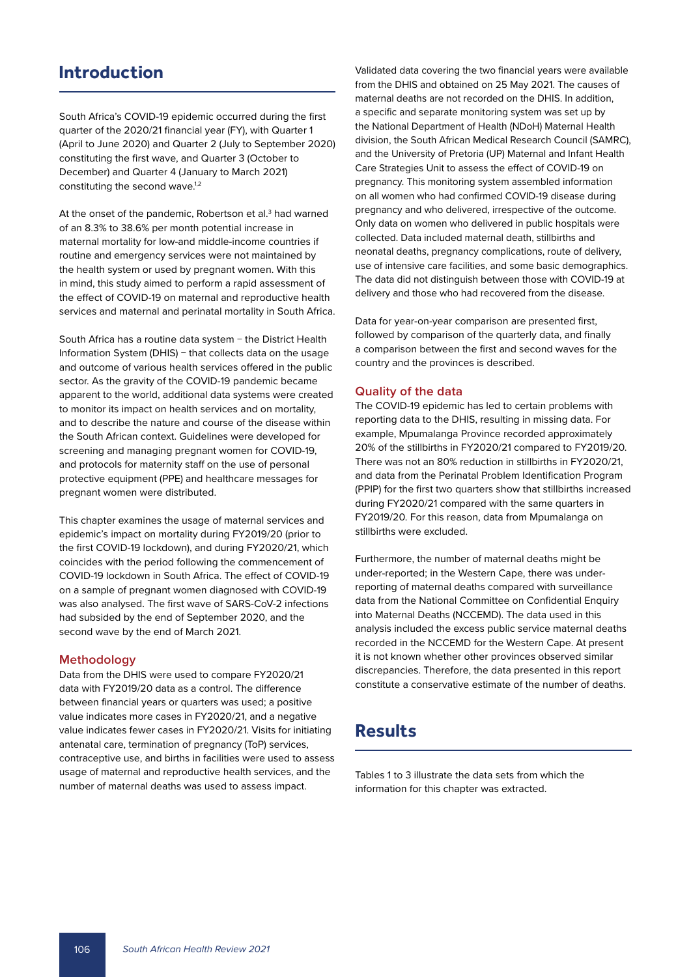# **Introduction**

South Africa's COVID-19 epidemic occurred during the first quarter of the 2020/21 financial year (FY), with Quarter 1 (April to June 2020) and Quarter 2 (July to September 2020) constituting the first wave, and Quarter 3 (October to December) and Quarter 4 (January to March 2021) constituting the second wave.<sup>1,2</sup>

At the onset of the pandemic, Robertson et al.<sup>3</sup> had warned of an 8.3% to 38.6% per month potential increase in maternal mortality for low-and middle-income countries if routine and emergency services were not maintained by the health system or used by pregnant women. With this in mind, this study aimed to perform a rapid assessment of the effect of COVID-19 on maternal and reproductive health services and maternal and perinatal mortality in South Africa.

South Africa has a routine data system − the District Health Information System (DHIS) − that collects data on the usage and outcome of various health services offered in the public sector. As the gravity of the COVID-19 pandemic became apparent to the world, additional data systems were created to monitor its impact on health services and on mortality, and to describe the nature and course of the disease within the South African context. Guidelines were developed for screening and managing pregnant women for COVID-19, and protocols for maternity staff on the use of personal protective equipment (PPE) and healthcare messages for pregnant women were distributed.

This chapter examines the usage of maternal services and epidemic's impact on mortality during FY2019/20 (prior to the first COVID-19 lockdown), and during FY2020/21, which coincides with the period following the commencement of COVID-19 lockdown in South Africa. The effect of COVID-19 on a sample of pregnant women diagnosed with COVID-19 was also analysed. The first wave of SARS-CoV-2 infections had subsided by the end of September 2020, and the second wave by the end of March 2021.

#### **Methodology**

Data from the DHIS were used to compare FY2020/21 data with FY2019/20 data as a control. The difference between financial years or quarters was used; a positive value indicates more cases in FY2020/21, and a negative value indicates fewer cases in FY2020/21. Visits for initiating antenatal care, termination of pregnancy (ToP) services, contraceptive use, and births in facilities were used to assess usage of maternal and reproductive health services, and the number of maternal deaths was used to assess impact.

Validated data covering the two financial years were available from the DHIS and obtained on 25 May 2021. The causes of maternal deaths are not recorded on the DHIS. In addition, a specific and separate monitoring system was set up by the National Department of Health (NDoH) Maternal Health division, the South African Medical Research Council (SAMRC), and the University of Pretoria (UP) Maternal and Infant Health Care Strategies Unit to assess the effect of COVID-19 on pregnancy. This monitoring system assembled information on all women who had confirmed COVID-19 disease during pregnancy and who delivered, irrespective of the outcome. Only data on women who delivered in public hospitals were collected. Data included maternal death, stillbirths and neonatal deaths, pregnancy complications, route of delivery, use of intensive care facilities, and some basic demographics. The data did not distinguish between those with COVID-19 at delivery and those who had recovered from the disease.

Data for year-on-year comparison are presented first, followed by comparison of the quarterly data, and finally a comparison between the first and second waves for the country and the provinces is described.

#### **Quality of the data**

The COVID-19 epidemic has led to certain problems with reporting data to the DHIS, resulting in missing data. For example, Mpumalanga Province recorded approximately 20% of the stillbirths in FY2020/21 compared to FY2019/20. There was not an 80% reduction in stillbirths in FY2020/21, and data from the Perinatal Problem Identification Program (PPIP) for the first two quarters show that stillbirths increased during FY2020/21 compared with the same quarters in FY2019/20. For this reason, data from Mpumalanga on stillbirths were excluded.

Furthermore, the number of maternal deaths might be under-reported; in the Western Cape, there was underreporting of maternal deaths compared with surveillance data from the National Committee on Confidential Enquiry into Maternal Deaths (NCCEMD). The data used in this analysis included the excess public service maternal deaths recorded in the NCCEMD for the Western Cape. At present it is not known whether other provinces observed similar discrepancies. Therefore, the data presented in this report constitute a conservative estimate of the number of deaths.

# **Results**

Tables 1 to 3 illustrate the data sets from which the information for this chapter was extracted.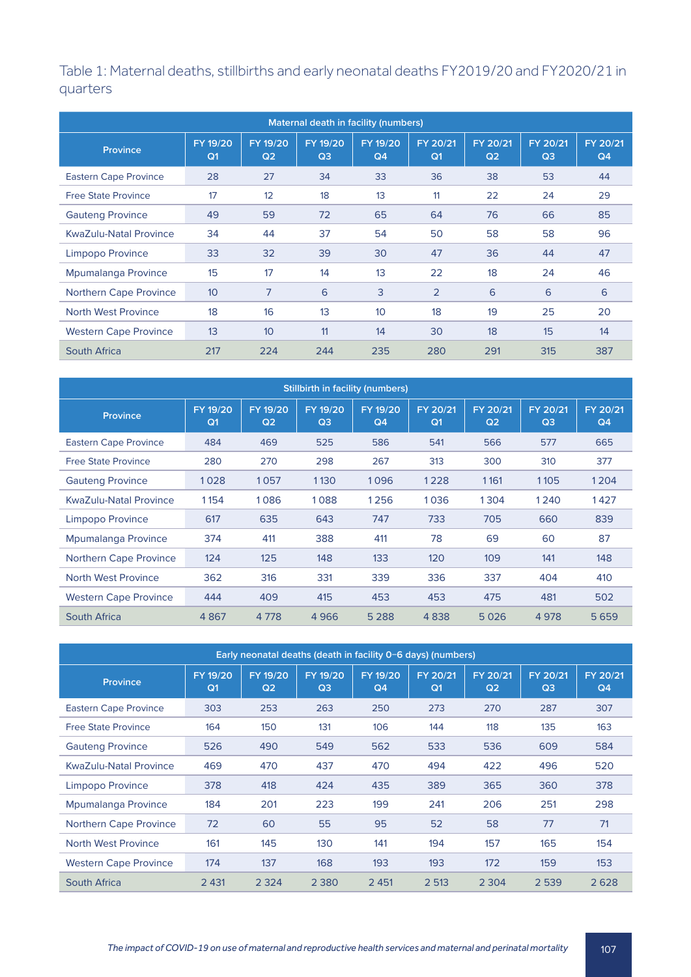Table 1: Maternal deaths, stillbirths and early neonatal deaths FY2019/20 and FY2020/21 in quarters

| Maternal death in facility (numbers) |                            |                            |                            |                            |                            |                            |                            |                            |  |  |
|--------------------------------------|----------------------------|----------------------------|----------------------------|----------------------------|----------------------------|----------------------------|----------------------------|----------------------------|--|--|
| Province                             | FY 19/20<br>Q <sub>1</sub> | FY 19/20<br>Q <sub>2</sub> | FY 19/20<br>Q <sub>3</sub> | FY 19/20<br>Q <sub>4</sub> | FY 20/21<br>Q <sub>1</sub> | FY 20/21<br>Q <sub>2</sub> | FY 20/21<br>Q <sub>3</sub> | FY 20/21<br>Q <sub>4</sub> |  |  |
| <b>Eastern Cape Province</b>         | 28                         | 27                         | 34                         | 33                         | 36                         | 38                         | 53                         | 44                         |  |  |
| <b>Free State Province</b>           | 17                         | 12                         | 18                         | 13                         | 11                         | 22                         | 24                         | 29                         |  |  |
| <b>Gauteng Province</b>              | 49                         | 59                         | 72                         | 65                         | 64                         | 76                         | 66                         | 85                         |  |  |
| KwaZulu-Natal Province               | 34                         | 44                         | 37                         | 54                         | 50                         | 58                         | 58                         | 96                         |  |  |
| Limpopo Province                     | 33                         | 32                         | 39                         | 30                         | 47                         | 36                         | 44                         | 47                         |  |  |
| Mpumalanga Province                  | 15                         | 17                         | 14                         | 13                         | 22                         | 18                         | 24                         | 46                         |  |  |
| <b>Northern Cape Province</b>        | 10 <sup>°</sup>            | 7                          | 6                          | 3                          | $\overline{2}$             | 6                          | 6                          | 6                          |  |  |
| North West Province                  | 18                         | 16                         | 13                         | 10                         | 18                         | 19                         | 25                         | 20                         |  |  |
| <b>Western Cape Province</b>         | 13                         | 10                         | 11                         | 14                         | 30                         | 18                         | 15                         | 14                         |  |  |
| <b>South Africa</b>                  | 217                        | 224                        | 244                        | 235                        | 280                        | 291                        | 315                        | 387                        |  |  |

| <b>Stillbirth in facility (numbers)</b> |                            |                            |                            |                |                            |                            |                            |                            |  |
|-----------------------------------------|----------------------------|----------------------------|----------------------------|----------------|----------------------------|----------------------------|----------------------------|----------------------------|--|
| <b>Province</b>                         | FY 19/20<br>Q <sub>1</sub> | FY 19/20<br>Q <sub>2</sub> | FY 19/20<br>Q <sub>3</sub> | FY 19/20<br>Q4 | FY 20/21<br>Q <sub>1</sub> | FY 20/21<br>Q <sub>2</sub> | FY 20/21<br>Q <sub>3</sub> | FY 20/21<br>Q <sub>4</sub> |  |
| <b>Eastern Cape Province</b>            | 484                        | 469                        | 525                        | 586            | 541                        | 566                        | 577                        | 665                        |  |
| <b>Free State Province</b>              | 280                        | 270                        | 298                        | 267            | 313                        | 300                        | 310                        | 377                        |  |
| <b>Gauteng Province</b>                 | 1028                       | 1057                       | 1130                       | 1096           | 1228                       | 1161                       | 1105                       | 1204                       |  |
| <b>KwaZulu-Natal Province</b>           | 1154                       | 1086                       | 1088                       | 1256           | 1036                       | 1304                       | 1240                       | 1427                       |  |
| Limpopo Province                        | 617                        | 635                        | 643                        | 747            | 733                        | 705                        | 660                        | 839                        |  |
| Mpumalanga Province                     | 374                        | 411                        | 388                        | 411            | 78                         | 69                         | 60                         | 87                         |  |
| <b>Northern Cape Province</b>           | 124                        | 125                        | 148                        | 133            | 120                        | 109                        | 141                        | 148                        |  |
| North West Province                     | 362                        | 316                        | 331                        | 339            | 336                        | 337                        | 404                        | 410                        |  |
| <b>Western Cape Province</b>            | 444                        | 409                        | 415                        | 453            | 453                        | 475                        | 481                        | 502                        |  |
| South Africa                            | 4867                       | 4 7 7 8                    | 4966                       | 5 2 8 8        | 4838                       | 5026                       | 4978                       | 5659                       |  |

| Early neonatal deaths (death in facility 0-6 days) (numbers) |                            |                            |                            |                            |                            |                            |                            |                            |  |
|--------------------------------------------------------------|----------------------------|----------------------------|----------------------------|----------------------------|----------------------------|----------------------------|----------------------------|----------------------------|--|
| <b>Province</b>                                              | FY 19/20<br>Q <sub>1</sub> | FY 19/20<br>Q <sub>2</sub> | FY 19/20<br>Q <sub>3</sub> | FY 19/20<br>Q <sub>4</sub> | FY 20/21<br>Q <sub>1</sub> | FY 20/21<br>Q <sub>2</sub> | FY 20/21<br>Q <sub>3</sub> | FY 20/21<br>Q <sub>4</sub> |  |
| <b>Eastern Cape Province</b>                                 | 303                        | 253                        | 263                        | 250                        | 273                        | 270                        | 287                        | 307                        |  |
| <b>Free State Province</b>                                   | 164                        | 150                        | 131                        | 106                        | 144                        | 118                        | 135                        | 163                        |  |
| <b>Gauteng Province</b>                                      | 526                        | 490                        | 549                        | 562                        | 533                        | 536                        | 609                        | 584                        |  |
| KwaZulu-Natal Province                                       | 469                        | 470                        | 437                        | 470                        | 494                        | 422                        | 496                        | 520                        |  |
| Limpopo Province                                             | 378                        | 418                        | 424                        | 435                        | 389                        | 365                        | 360                        | 378                        |  |
| Mpumalanga Province                                          | 184                        | 201                        | 223                        | 199                        | 241                        | 206                        | 251                        | 298                        |  |
| <b>Northern Cape Province</b>                                | 72                         | 60                         | 55                         | 95                         | 52                         | 58                         | 77                         | 71                         |  |
| North West Province                                          | 161                        | 145                        | 130                        | 141                        | 194                        | 157                        | 165                        | 154                        |  |
| <b>Western Cape Province</b>                                 | 174                        | 137                        | 168                        | 193                        | 193                        | 172                        | 159                        | 153                        |  |
| South Africa                                                 | 2 4 31                     | 2 3 2 4                    | 2 3 8 0                    | 2 4 5 1                    | 2 513                      | 2 3 0 4                    | 2 5 3 9                    | 2628                       |  |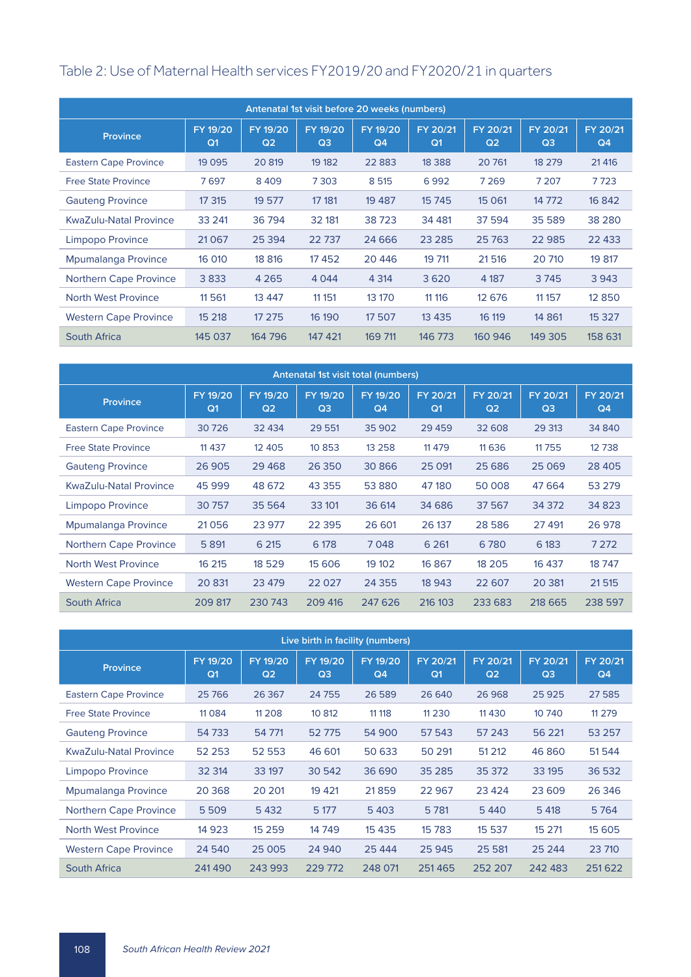# Table 2: Use of Maternal Health services FY2019/20 and FY2020/21 in quarters

| Antenatal 1st visit before 20 weeks (numbers) |                            |                            |                            |                            |                            |                            |                            |                |  |
|-----------------------------------------------|----------------------------|----------------------------|----------------------------|----------------------------|----------------------------|----------------------------|----------------------------|----------------|--|
| Province                                      | FY 19/20<br>Q <sub>1</sub> | FY 19/20<br>Q <sub>2</sub> | FY 19/20<br>Q <sub>3</sub> | FY 19/20<br>Q <sub>4</sub> | FY 20/21<br>Q <sub>1</sub> | FY 20/21<br>Q <sub>2</sub> | FY 20/21<br>Q <sub>3</sub> | FY 20/21<br>Q4 |  |
| <b>Eastern Cape Province</b>                  | 19 0 95                    | 20 819                     | 19 182                     | 22 8 83                    | 18 3 8 8                   | 20 761                     | 18 279                     | 21 4 16        |  |
| <b>Free State Province</b>                    | 7697                       | 8409                       | 7303                       | 8 5 1 5                    | 6992                       | 7 2 6 9                    | 7 2 0 7                    | 7723           |  |
| <b>Gauteng Province</b>                       | 17 315                     | 19 577                     | 17 181                     | 19 4 8 7                   | 15 745                     | 15 0 61                    | 14 772                     | 16 842         |  |
| <b>KwaZulu-Natal Province</b>                 | 33 241                     | 36 794                     | 32 181                     | 38723                      | 34 481                     | 37 594                     | 35 589                     | 38 2 8 0       |  |
| Limpopo Province                              | 21067                      | 25 3 94                    | 22737                      | 24 6 6 6                   | 23 2 8 5                   | 25 7 63                    | 22 985                     | 22 433         |  |
| Mpumalanga Province                           | 16 010                     | 18 816                     | 17452                      | 20 4 46                    | 19 711                     | 21516                      | 20 710                     | 19 817         |  |
| <b>Northern Cape Province</b>                 | 3833                       | 4 2 6 5                    | 4 0 4 4                    | 4 3 1 4                    | 3620                       | 4 1 8 7                    | 3745                       | 3 9 4 3        |  |
| North West Province                           | 11 5 61                    | 13 4 4 7                   | 11 151                     | 13 170                     | 11 11 6                    | 12 676                     | 11 157                     | 12 8 5 0       |  |
| <b>Western Cape Province</b>                  | 15 218                     | 17 275                     | 16 190                     | 17 507                     | 13 4 3 5                   | 16 119                     | 14 8 61                    | 15 3 27        |  |
| South Africa                                  | 145 037                    | 164 796                    | 147 421                    | 169 711                    | 146 773                    | 160 946                    | 149 305                    | 158 631        |  |

| Antenatal 1st visit total (numbers) |                            |                            |                            |                            |                            |                            |                            |                            |
|-------------------------------------|----------------------------|----------------------------|----------------------------|----------------------------|----------------------------|----------------------------|----------------------------|----------------------------|
| <b>Province</b>                     | FY 19/20<br>Q <sub>1</sub> | FY 19/20<br>Q <sub>2</sub> | FY 19/20<br>Q <sub>3</sub> | FY 19/20<br>Q <sub>4</sub> | FY 20/21<br>Q <sub>1</sub> | FY 20/21<br>Q <sub>2</sub> | FY 20/21<br>Q <sub>3</sub> | FY 20/21<br>Q <sub>4</sub> |
| <b>Eastern Cape Province</b>        | 30726                      | 32 434                     | 29 551                     | 35 902                     | 29 4 59                    | 32 608                     | 29 313                     | 34 840                     |
| <b>Free State Province</b>          | 11 4 3 7                   | 12 4 0 5                   | 10 8 5 3                   | 13 2 5 8                   | 11 4 7 9                   | 11 6 3 6                   | 11755                      | 12738                      |
| <b>Gauteng Province</b>             | 26 905                     | 29 4 68                    | 26 350                     | 30 866                     | 25 0 91                    | 25 6 86                    | 25 0 69                    | 28 4 0 5                   |
| <b>KwaZulu-Natal Province</b>       | 45 999                     | 48 672                     | 43 3 5 5                   | 53 880                     | 47 180                     | 50 008                     | 47 6 64                    | 53 279                     |
| Limpopo Province                    | 30757                      | 35 5 64                    | 33 101                     | 36 614                     | 34 686                     | 37 567                     | 34 372                     | 34 823                     |
| Mpumalanga Province                 | 21056                      | 23 977                     | 22 3 95                    | 26 601                     | 26 137                     | 28 5 86                    | 27 491                     | 26 978                     |
| <b>Northern Cape Province</b>       | 5 8 9 1                    | 6 2 1 5                    | 6 178                      | 7048                       | 6 2 6 1                    | 6780                       | 6 183                      | 7 2 7 2                    |
| North West Province                 | 16 215                     | 18 5 29                    | 15 606                     | 19 10 2                    | 16 867                     | 18 205                     | 16 437                     | 18747                      |
| <b>Western Cape Province</b>        | 20 831                     | 23 479                     | 22 0 27                    | 24 3 5 5                   | 18 943                     | 22 607                     | 20 381                     | 21515                      |
| South Africa                        | 209 817                    | 230 743                    | 209 416                    | 247 626                    | 216 103                    | 233 683                    | 218 665                    | 238 597                    |

| Live birth in facility (numbers) |                            |                            |                            |                            |                            |                            |                            |                            |  |  |
|----------------------------------|----------------------------|----------------------------|----------------------------|----------------------------|----------------------------|----------------------------|----------------------------|----------------------------|--|--|
| Province                         | FY 19/20<br>Q <sub>1</sub> | FY 19/20<br>Q <sub>2</sub> | FY 19/20<br>Q <sub>3</sub> | FY 19/20<br>Q <sub>4</sub> | FY 20/21<br>Q <sub>1</sub> | FY 20/21<br>Q <sub>2</sub> | FY 20/21<br>Q <sub>3</sub> | FY 20/21<br>Q <sub>4</sub> |  |  |
| <b>Eastern Cape Province</b>     | 25 7 66                    | 26 3 67                    | 24 7 55                    | 26 589                     | 26 640                     | 26 968                     | 25 9 25                    | 27 585                     |  |  |
| <b>Free State Province</b>       | 11 0 8 4                   | 11 208                     | 10 812                     | 11 11 8                    | 11 2 3 0                   | 11 4 3 0                   | 10 740                     | 11 2 7 9                   |  |  |
| <b>Gauteng Province</b>          | 54733                      | 54 771                     | 52775                      | 54 900                     | 57 543                     | 57 243                     | 56 221                     | 53 257                     |  |  |
| <b>KwaZulu-Natal Province</b>    | 52 2 53                    | 52 553                     | 46 601                     | 50 633                     | 50 291                     | 51 212                     | 46 860                     | 51 544                     |  |  |
| Limpopo Province                 | 32 314                     | 33 197                     | 30 542                     | 36 690                     | 35 285                     | 35 372                     | 33 195                     | 36 532                     |  |  |
| Mpumalanga Province              | 20 3 68                    | 20 201                     | 19 4 21                    | 21859                      | 22 967                     | 23 4 24                    | 23 609                     | 26 34 6                    |  |  |
| <b>Northern Cape Province</b>    | 5509                       | 5432                       | 5 177                      | 5403                       | 5 7 8 1                    | 5440                       | 5 4 18                     | 5764                       |  |  |
| North West Province              | 14 9 23                    | 15 2 5 9                   | 14749                      | 15 4 35                    | 15 7 83                    | 15 537                     | 15 2 71                    | 15 605                     |  |  |
| <b>Western Cape Province</b>     | 24 540                     | 25 0 0 5                   | 24 940                     | 25 4 44                    | 25 945                     | 25 5 81                    | 25 244                     | 23 710                     |  |  |
| <b>South Africa</b>              | 241490                     | 243 993                    | 229 772                    | 248 071                    | 251465                     | 252 207                    | 242 483                    | 251622                     |  |  |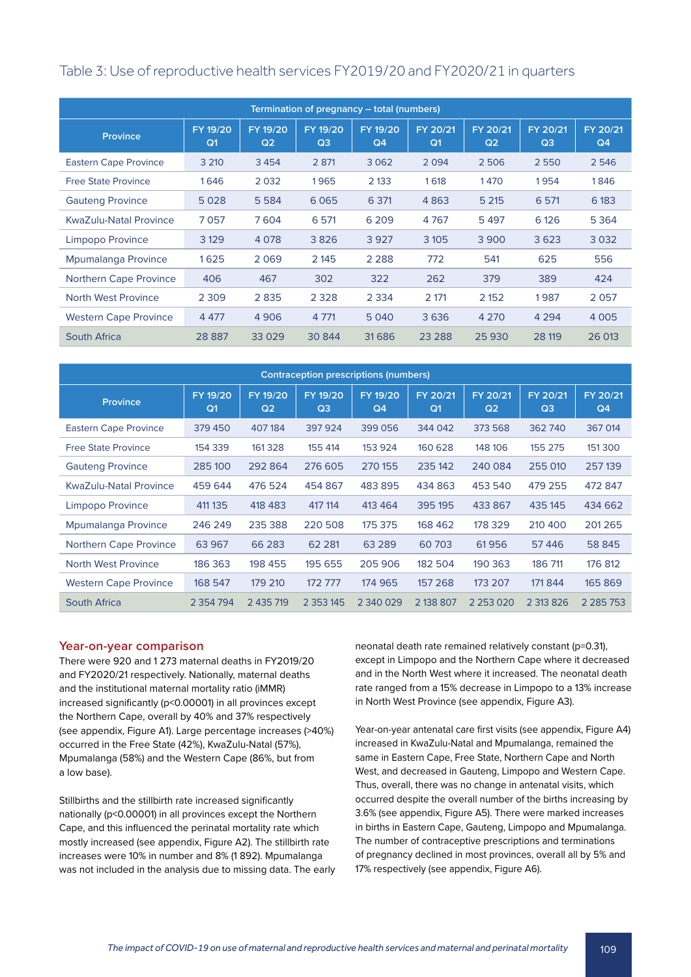### Table 3: Use of reproductive health services FY2019/20 and FY2020/21 in quarters

| Termination of pregnancy – total (numbers) |                            |                            |                            |                            |                            |                            |                            |                            |  |
|--------------------------------------------|----------------------------|----------------------------|----------------------------|----------------------------|----------------------------|----------------------------|----------------------------|----------------------------|--|
| Province                                   | FY 19/20<br>Q <sub>1</sub> | FY 19/20<br>Q <sub>2</sub> | FY 19/20<br>Q <sub>3</sub> | FY 19/20<br>Q <sub>4</sub> | FY 20/21<br>Q <sub>1</sub> | FY 20/21<br>Q <sub>2</sub> | FY 20/21<br>Q <sub>3</sub> | FY 20/21<br>Q <sub>4</sub> |  |
| <b>Eastern Cape Province</b>               | 3 2 1 0                    | 3454                       | 2 8 7 1                    | 3 0 6 2                    | 2094                       | 2506                       | 2550                       | 2 5 4 6                    |  |
| <b>Free State Province</b>                 | 1646                       | 2032                       | 1965                       | 2 1 3 3                    | 1618                       | 1470                       | 1954                       | 1846                       |  |
| <b>Gauteng Province</b>                    | 5028                       | 5 5 8 4                    | 6065                       | 6 3 7 1                    | 4863                       | 5 2 1 5                    | 6 5 7 1                    | 6 183                      |  |
| KwaZulu-Natal Province                     | 7057                       | 7604                       | 6 571                      | 6 2 0 9                    | 4767                       | 5497                       | 6 1 2 6                    | 5 3 6 4                    |  |
| Limpopo Province                           | 3 1 2 9                    | 4 0 7 8                    | 3826                       | 3927                       | 3 1 0 5                    | 3 9 0 0                    | 3623                       | 3032                       |  |
| Mpumalanga Province                        | 1625                       | 2069                       | 2 145                      | 2 2 8 8                    | 772                        | 541                        | 625                        | 556                        |  |
| <b>Northern Cape Province</b>              | 406                        | 467                        | 302                        | 322                        | 262                        | 379                        | 389                        | 424                        |  |
| North West Province                        | 2 3 0 9                    | 2835                       | 2 3 2 8                    | 2 3 3 4                    | 2 171                      | 2 152                      | 1987                       | 2057                       |  |
| <b>Western Cape Province</b>               | 4 4 7 7                    | 4 9 0 6                    | 4 7 7 1                    | 5 0 4 0                    | 3636                       | 4 2 7 0                    | 4 2 9 4                    | 4 0 0 5                    |  |
| South Africa                               | 28 8 87                    | 33029                      | 30 844                     | 31686                      | 23 2 8 8                   | 25 930                     | 28 119                     | 26 013                     |  |

| <b>Contraception prescriptions (numbers)</b> |                            |                            |                            |                |                            |                            |                            |                            |  |
|----------------------------------------------|----------------------------|----------------------------|----------------------------|----------------|----------------------------|----------------------------|----------------------------|----------------------------|--|
| <b>Province</b>                              | FY 19/20<br>Q <sub>1</sub> | FY 19/20<br>Q <sub>2</sub> | FY 19/20<br>Q <sub>3</sub> | FY 19/20<br>Q4 | FY 20/21<br>Q <sub>1</sub> | FY 20/21<br>Q <sub>2</sub> | FY 20/21<br>Q <sub>3</sub> | FY 20/21<br>Q <sub>4</sub> |  |
| <b>Eastern Cape Province</b>                 | 379 450                    | 407184                     | 397924                     | 399 056        | 344 042                    | 373 568                    | 362740                     | 367 014                    |  |
| <b>Free State Province</b>                   | 154 339                    | 161 3 28                   | 155 414                    | 153 924        | 160 628                    | 148 106                    | 155 275                    | 151 300                    |  |
| <b>Gauteng Province</b>                      | 285 100                    | 292 864                    | 276 605                    | 270 155        | 235 142                    | 240 084                    | 255 010                    | 257139                     |  |
| KwaZulu-Natal Province                       | 459 644                    | 476 524                    | 454 867                    | 483895         | 434 863                    | 453 540                    | 479 255                    | 472 847                    |  |
| Limpopo Province                             | 411 135                    | 418 483                    | 417 114                    | 413 464        | 395 195                    | 433 867                    | 435 145                    | 434 662                    |  |
| Mpumalanga Province                          | 246 249                    | 235 388                    | 220 508                    | 175 375        | 168 462                    | 178 329                    | 210 400                    | 201265                     |  |
| Northern Cape Province                       | 63 967                     | 66 283                     | 62 2 81                    | 63 2 89        | 60703                      | 61956                      | 57446                      | 58 845                     |  |
| North West Province                          | 186 363                    | 198 455                    | 195 655                    | 205 906        | 182 504                    | 190 363                    | 186 711                    | 176 812                    |  |
| <b>Western Cape Province</b>                 | 168 547                    | 179 210                    | 172 777                    | 174 965        | 157 268                    | 173 207                    | 171 844                    | 165 869                    |  |
| South Africa                                 | 2 3 5 4 7 9 4              | 2 435 719                  | 2 3 5 3 1 4 5              | 2 340 029      | 2 138 807                  | 2 2 5 3 0 2 0              | 2 313 826                  | 2 2 8 5 7 5 3              |  |

#### **Year-on-year comparison**

There were 920 and 1 273 maternal deaths in FY2019/20 and FY2020/21 respectively. Nationally, maternal deaths and the institutional maternal mortality ratio (iMMR) increased significantly (p<0.00001) in all provinces except the Northern Cape, overall by 40% and 37% respectively (see appendix, Figure A1). Large percentage increases (>40%) occurred in the Free State (42%), KwaZulu-Natal (57%), Mpumalanga (58%) and the Western Cape (86%, but from a low base).

Stillbirths and the stillbirth rate increased significantly nationally (p<0.00001) in all provinces except the Northern Cape, and this influenced the perinatal mortality rate which mostly increased (see appendix, Figure A2). The stillbirth rate increases were 10% in number and 8% (1 892). Mpumalanga was not included in the analysis due to missing data. The early neonatal death rate remained relatively constant (p=0.31), except in Limpopo and the Northern Cape where it decreased and in the North West where it increased. The neonatal death rate ranged from a 15% decrease in Limpopo to a 13% increase in North West Province (see appendix, Figure A3).

Year-on-year antenatal care first visits (see appendix, Figure A4) increased in KwaZulu-Natal and Mpumalanga, remained the same in Eastern Cape, Free State, Northern Cape and North West, and decreased in Gauteng, Limpopo and Western Cape. Thus, overall, there was no change in antenatal visits, which occurred despite the overall number of the births increasing by 3.6% (see appendix, Figure A5). There were marked increases in births in Eastern Cape, Gauteng, Limpopo and Mpumalanga. The number of contraceptive prescriptions and terminations of pregnancy declined in most provinces, overall all by 5% and 17% respectively (see appendix, Figure A6).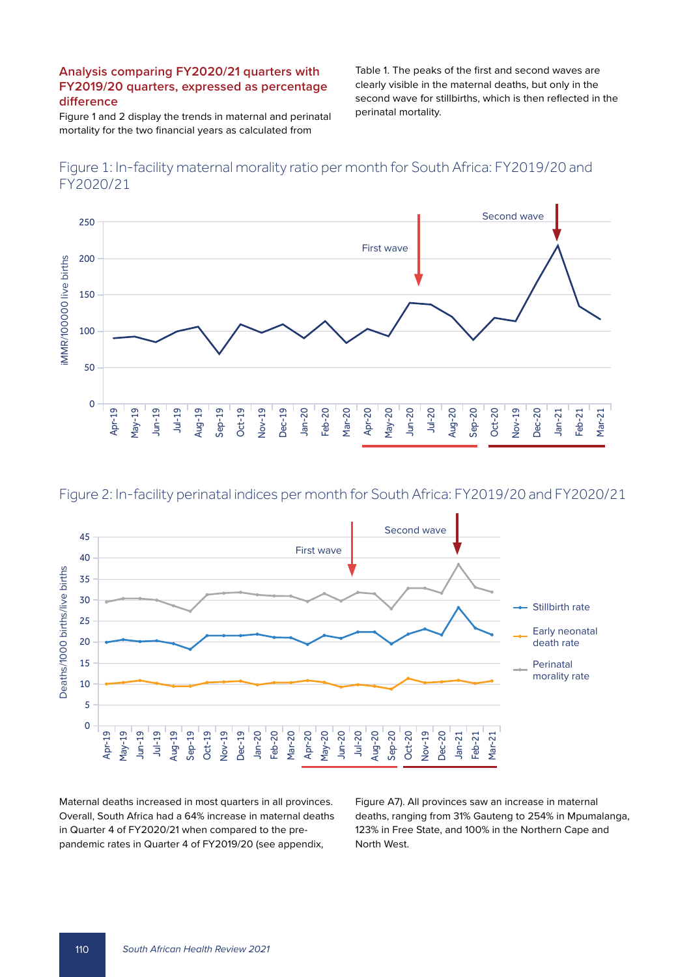### **Analysis comparing FY2020/21 quarters with FY2019/20 quarters, expressed as percentage difference**

Figure 1 and 2 display the trends in maternal and perinatal mortality for the two financial years as calculated from

Table 1. The peaks of the first and second waves are clearly visible in the maternal deaths, but only in the second wave for stillbirths, which is then reflected in the perinatal mortality.









Maternal deaths increased in most quarters in all provinces. Overall, South Africa had a 64% increase in maternal deaths in Quarter 4 of FY2020/21 when compared to the prepandemic rates in Quarter 4 of FY2019/20 (see appendix,

Figure A7). All provinces saw an increase in maternal deaths, ranging from 31% Gauteng to 254% in Mpumalanga, 123% in Free State, and 100% in the Northern Cape and North West.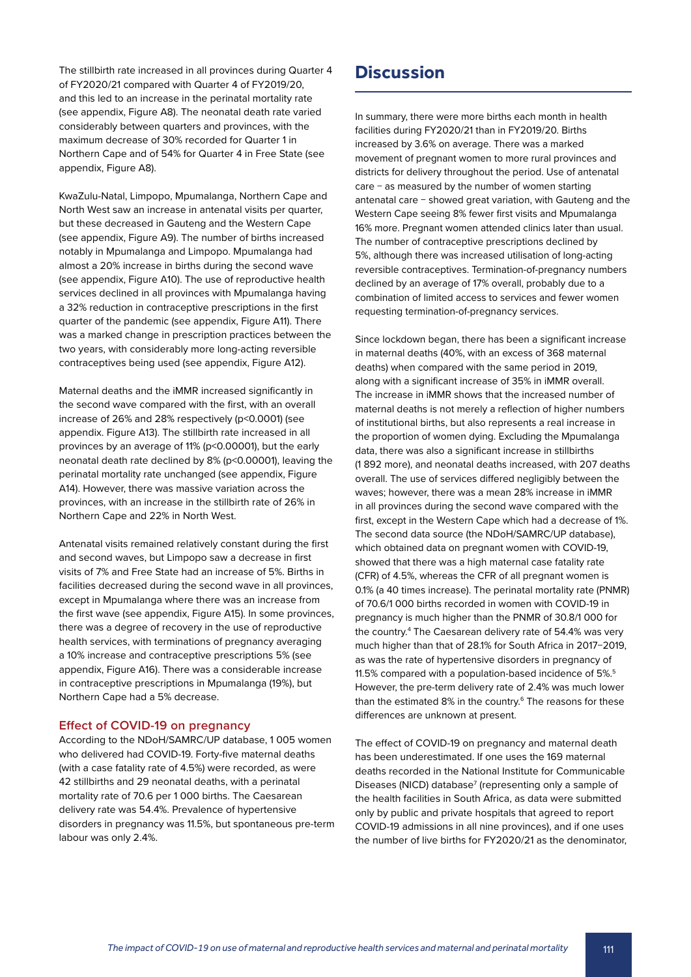The stillbirth rate increased in all provinces during Quarter 4 of FY2020/21 compared with Quarter 4 of FY2019/20, and this led to an increase in the perinatal mortality rate (see appendix, Figure A8). The neonatal death rate varied considerably between quarters and provinces, with the maximum decrease of 30% recorded for Quarter 1 in Northern Cape and of 54% for Quarter 4 in Free State (see appendix, Figure A8).

KwaZulu-Natal, Limpopo, Mpumalanga, Northern Cape and North West saw an increase in antenatal visits per quarter, but these decreased in Gauteng and the Western Cape (see appendix, Figure A9). The number of births increased notably in Mpumalanga and Limpopo. Mpumalanga had almost a 20% increase in births during the second wave (see appendix, Figure A10). The use of reproductive health services declined in all provinces with Mpumalanga having a 32% reduction in contraceptive prescriptions in the first quarter of the pandemic (see appendix, Figure A11). There was a marked change in prescription practices between the two years, with considerably more long-acting reversible contraceptives being used (see appendix, Figure A12).

Maternal deaths and the iMMR increased significantly in the second wave compared with the first, with an overall increase of 26% and 28% respectively (p<0.0001) (see appendix. Figure A13). The stillbirth rate increased in all provinces by an average of 11% (p<0.00001), but the early neonatal death rate declined by 8% (p<0.00001), leaving the perinatal mortality rate unchanged (see appendix, Figure A14). However, there was massive variation across the provinces, with an increase in the stillbirth rate of 26% in Northern Cape and 22% in North West.

Antenatal visits remained relatively constant during the first and second waves, but Limpopo saw a decrease in first visits of 7% and Free State had an increase of 5%. Births in facilities decreased during the second wave in all provinces, except in Mpumalanga where there was an increase from the first wave (see appendix, Figure A15). In some provinces, there was a degree of recovery in the use of reproductive health services, with terminations of pregnancy averaging a 10% increase and contraceptive prescriptions 5% (see appendix, Figure A16). There was a considerable increase in contraceptive prescriptions in Mpumalanga (19%), but Northern Cape had a 5% decrease.

#### **Effect of COVID-19 on pregnancy**

According to the NDoH/SAMRC/UP database, 1 005 women who delivered had COVID-19. Forty-five maternal deaths (with a case fatality rate of 4.5%) were recorded, as were 42 stillbirths and 29 neonatal deaths, with a perinatal mortality rate of 70.6 per 1 000 births. The Caesarean delivery rate was 54.4%. Prevalence of hypertensive disorders in pregnancy was 11.5%, but spontaneous pre-term labour was only 2.4%.

# **Discussion**

In summary, there were more births each month in health facilities during FY2020/21 than in FY2019/20. Births increased by 3.6% on average. There was a marked movement of pregnant women to more rural provinces and districts for delivery throughout the period. Use of antenatal care − as measured by the number of women starting antenatal care − showed great variation, with Gauteng and the Western Cape seeing 8% fewer first visits and Mpumalanga 16% more. Pregnant women attended clinics later than usual. The number of contraceptive prescriptions declined by 5%, although there was increased utilisation of long-acting reversible contraceptives. Termination-of-pregnancy numbers declined by an average of 17% overall, probably due to a combination of limited access to services and fewer women requesting termination-of-pregnancy services.

Since lockdown began, there has been a significant increase in maternal deaths (40%, with an excess of 368 maternal deaths) when compared with the same period in 2019, along with a significant increase of 35% in iMMR overall. The increase in iMMR shows that the increased number of maternal deaths is not merely a reflection of higher numbers of institutional births, but also represents a real increase in the proportion of women dying. Excluding the Mpumalanga data, there was also a significant increase in stillbirths (1 892 more), and neonatal deaths increased, with 207 deaths overall. The use of services differed negligibly between the waves; however, there was a mean 28% increase in iMMR in all provinces during the second wave compared with the first, except in the Western Cape which had a decrease of 1%. The second data source (the NDoH/SAMRC/UP database), which obtained data on pregnant women with COVID-19, showed that there was a high maternal case fatality rate (CFR) of 4.5%, whereas the CFR of all pregnant women is 0.1% (a 40 times increase). The perinatal mortality rate (PNMR) of 70.6/1 000 births recorded in women with COVID-19 in pregnancy is much higher than the PNMR of 30.8/1 000 for the country.4 The Caesarean delivery rate of 54.4% was very much higher than that of 28.1% for South Africa in 2017−2019, as was the rate of hypertensive disorders in pregnancy of 11.5% compared with a population-based incidence of 5%.5 However, the pre-term delivery rate of 2.4% was much lower than the estimated 8% in the country.<sup>6</sup> The reasons for these differences are unknown at present.

The effect of COVID-19 on pregnancy and maternal death has been underestimated. If one uses the 169 maternal deaths recorded in the National Institute for Communicable Diseases (NICD) database<sup>7</sup> (representing only a sample of the health facilities in South Africa, as data were submitted only by public and private hospitals that agreed to report COVID-19 admissions in all nine provinces), and if one uses the number of live births for FY2020/21 as the denominator,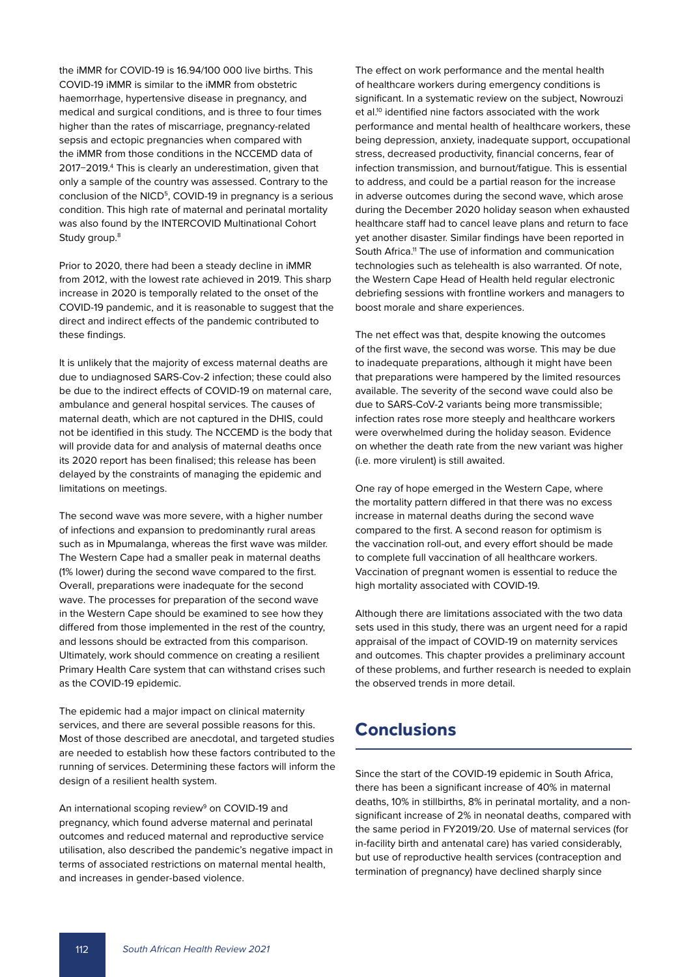the iMMR for COVID-19 is 16.94/100 000 live births. This COVID-19 iMMR is similar to the iMMR from obstetric haemorrhage, hypertensive disease in pregnancy, and medical and surgical conditions, and is three to four times higher than the rates of miscarriage, pregnancy-related sepsis and ectopic pregnancies when compared with the iMMR from those conditions in the NCCEMD data of 2017−2019.4 This is clearly an underestimation, given that only a sample of the country was assessed. Contrary to the conclusion of the NICD<sup>5</sup>, COVID-19 in pregnancy is a serious condition. This high rate of maternal and perinatal mortality was also found by the INTERCOVID Multinational Cohort Study group.<sup>8</sup>

Prior to 2020, there had been a steady decline in iMMR from 2012, with the lowest rate achieved in 2019. This sharp increase in 2020 is temporally related to the onset of the COVID-19 pandemic, and it is reasonable to suggest that the direct and indirect effects of the pandemic contributed to these findings.

It is unlikely that the majority of excess maternal deaths are due to undiagnosed SARS-Cov-2 infection; these could also be due to the indirect effects of COVID-19 on maternal care, ambulance and general hospital services. The causes of maternal death, which are not captured in the DHIS, could not be identified in this study. The NCCEMD is the body that will provide data for and analysis of maternal deaths once its 2020 report has been finalised; this release has been delayed by the constraints of managing the epidemic and limitations on meetings.

The second wave was more severe, with a higher number of infections and expansion to predominantly rural areas such as in Mpumalanga, whereas the first wave was milder. The Western Cape had a smaller peak in maternal deaths (1% lower) during the second wave compared to the first. Overall, preparations were inadequate for the second wave. The processes for preparation of the second wave in the Western Cape should be examined to see how they differed from those implemented in the rest of the country, and lessons should be extracted from this comparison. Ultimately, work should commence on creating a resilient Primary Health Care system that can withstand crises such as the COVID-19 epidemic.

The epidemic had a major impact on clinical maternity services, and there are several possible reasons for this. Most of those described are anecdotal, and targeted studies are needed to establish how these factors contributed to the running of services. Determining these factors will inform the design of a resilient health system.

An international scoping review<sup>9</sup> on COVID-19 and pregnancy, which found adverse maternal and perinatal outcomes and reduced maternal and reproductive service utilisation, also described the pandemic's negative impact in terms of associated restrictions on maternal mental health, and increases in gender-based violence.

The effect on work performance and the mental health of healthcare workers during emergency conditions is significant. In a systematic review on the subject, Nowrouzi et al.<sup>10</sup> identified nine factors associated with the work performance and mental health of healthcare workers, these being depression, anxiety, inadequate support, occupational stress, decreased productivity, financial concerns, fear of infection transmission, and burnout/fatigue. This is essential to address, and could be a partial reason for the increase in adverse outcomes during the second wave, which arose during the December 2020 holiday season when exhausted healthcare staff had to cancel leave plans and return to face yet another disaster. Similar findings have been reported in South Africa.<sup>11</sup> The use of information and communication technologies such as telehealth is also warranted. Of note, the Western Cape Head of Health held regular electronic debriefing sessions with frontline workers and managers to boost morale and share experiences.

The net effect was that, despite knowing the outcomes of the first wave, the second was worse. This may be due to inadequate preparations, although it might have been that preparations were hampered by the limited resources available. The severity of the second wave could also be due to SARS-CoV-2 variants being more transmissible; infection rates rose more steeply and healthcare workers were overwhelmed during the holiday season. Evidence on whether the death rate from the new variant was higher (i.e. more virulent) is still awaited.

One ray of hope emerged in the Western Cape, where the mortality pattern differed in that there was no excess increase in maternal deaths during the second wave compared to the first. A second reason for optimism is the vaccination roll-out, and every effort should be made to complete full vaccination of all healthcare workers. Vaccination of pregnant women is essential to reduce the high mortality associated with COVID-19.

Although there are limitations associated with the two data sets used in this study, there was an urgent need for a rapid appraisal of the impact of COVID-19 on maternity services and outcomes. This chapter provides a preliminary account of these problems, and further research is needed to explain the observed trends in more detail.

# **Conclusions**

Since the start of the COVID-19 epidemic in South Africa, there has been a significant increase of 40% in maternal deaths, 10% in stillbirths, 8% in perinatal mortality, and a nonsignificant increase of 2% in neonatal deaths, compared with the same period in FY2019/20. Use of maternal services (for in-facility birth and antenatal care) has varied considerably, but use of reproductive health services (contraception and termination of pregnancy) have declined sharply since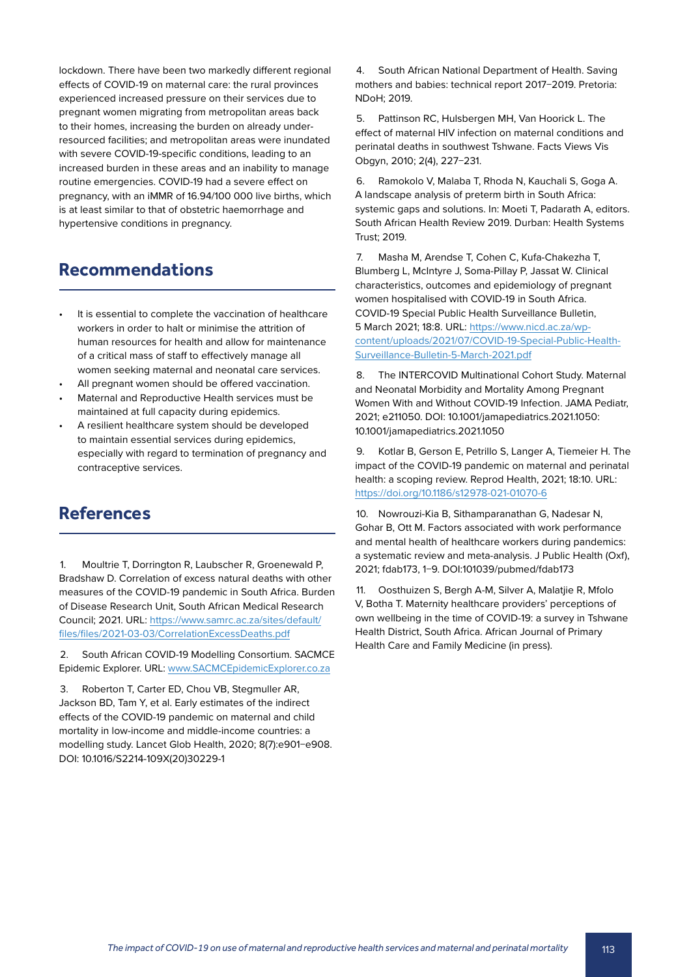lockdown. There have been two markedly different regional effects of COVID-19 on maternal care: the rural provinces experienced increased pressure on their services due to pregnant women migrating from metropolitan areas back to their homes, increasing the burden on already underresourced facilities; and metropolitan areas were inundated with severe COVID-19-specific conditions, leading to an increased burden in these areas and an inability to manage routine emergencies. COVID-19 had a severe effect on pregnancy, with an iMMR of 16.94/100 000 live births, which is at least similar to that of obstetric haemorrhage and hypertensive conditions in pregnancy.

# **Recommendations**

- It is essential to complete the vaccination of healthcare workers in order to halt or minimise the attrition of human resources for health and allow for maintenance of a critical mass of staff to effectively manage all women seeking maternal and neonatal care services.
- All pregnant women should be offered vaccination.
- Maternal and Reproductive Health services must be maintained at full capacity during epidemics.
- A resilient healthcare system should be developed to maintain essential services during epidemics, especially with regard to termination of pregnancy and contraceptive services.

# **References**

1. Moultrie T, Dorrington R, Laubscher R, Groenewald P, Bradshaw D. Correlation of excess natural deaths with other measures of the COVID-19 pandemic in South Africa. Burden of Disease Research Unit, South African Medical Research Council; 2021. URL: [https://www.samrc.ac.za/sites/default/](https://www.samrc.ac.za/sites/default/files/files/2021-03-03/CorrelationExcessDeaths.pdf) [files/files/2021-03-03/CorrelationExcessDeaths.pdf](https://www.samrc.ac.za/sites/default/files/files/2021-03-03/CorrelationExcessDeaths.pdf)

2. South African COVID-19 Modelling Consortium. SACMCE Epidemic Explorer. URL: [www.SACMCEpidemicExplorer.co.za](http://www.SACMCEpidemicExplorer.co.za)

3. Roberton T, Carter ED, Chou VB, Stegmuller AR, Jackson BD, Tam Y, et al. Early estimates of the indirect effects of the COVID-19 pandemic on maternal and child mortality in low-income and middle-income countries: a modelling study. Lancet Glob Health, 2020; 8(7):e901−e908. DOI: 10.1016/S2214-109X(20)30229-1

4. South African National Department of Health. Saving mothers and babies: technical report 2017−2019. Pretoria: NDoH; 2019.

5. Pattinson RC, Hulsbergen MH, Van Hoorick L. The effect of maternal HIV infection on maternal conditions and perinatal deaths in southwest Tshwane. Facts Views Vis Obgyn, 2010; 2(4), 227−231.

6. Ramokolo V, Malaba T, Rhoda N, Kauchali S, Goga A. A landscape analysis of preterm birth in South Africa: systemic gaps and solutions. In: Moeti T, Padarath A, editors. South African Health Review 2019. Durban: Health Systems Trust; 2019.

7. Masha M, Arendse T, Cohen C, Kufa-Chakezha T, Blumberg L, McIntyre J, Soma-Pillay P, Jassat W. Clinical characteristics, outcomes and epidemiology of pregnant women hospitalised with COVID-19 in South Africa. COVID-19 Special Public Health Surveillance Bulletin, 5 March 2021; 18:8. URL: [https://www.nicd.ac.za/wp](https://www.nicd.ac.za/wp-content/uploads/2021/07/COVID-19-Special-Public-Health-Surveillance-Bulletin-5-March-2021.pdf)[content/uploads/2021/07/COVID-19-Special-Public-Health-](https://www.nicd.ac.za/wp-content/uploads/2021/07/COVID-19-Special-Public-Health-Surveillance-Bulletin-5-March-2021.pdf)[Surveillance-Bulletin-5-March-2021.pdf](https://www.nicd.ac.za/wp-content/uploads/2021/07/COVID-19-Special-Public-Health-Surveillance-Bulletin-5-March-2021.pdf)

8. The INTERCOVID Multinational Cohort Study. Maternal and Neonatal Morbidity and Mortality Among Pregnant Women With and Without COVID-19 Infection. JAMA Pediatr, 2021; e211050. DOI: 10.1001/jamapediatrics.2021.1050: 10.1001/jamapediatrics.2021.1050

9. Kotlar B, Gerson E, Petrillo S, Langer A, Tiemeier H. The impact of the COVID-19 pandemic on maternal and perinatal health: a scoping review. Reprod Health, 2021; 18:10. URL: <https://doi.org/10.1186/s12978-021-01070-6>

10. Nowrouzi-Kia B, Sithamparanathan G, Nadesar N, Gohar B, Ott M. Factors associated with work performance and mental health of healthcare workers during pandemics: a systematic review and meta-analysis. J Public Health (Oxf), 2021; fdab173, 1−9. DOI:101039/pubmed/fdab173

11. Oosthuizen S, Bergh A-M, Silver A, Malatjie R, Mfolo V, Botha T. Maternity healthcare providers' perceptions of own wellbeing in the time of COVID-19: a survey in Tshwane Health District, South Africa. African Journal of Primary Health Care and Family Medicine (in press).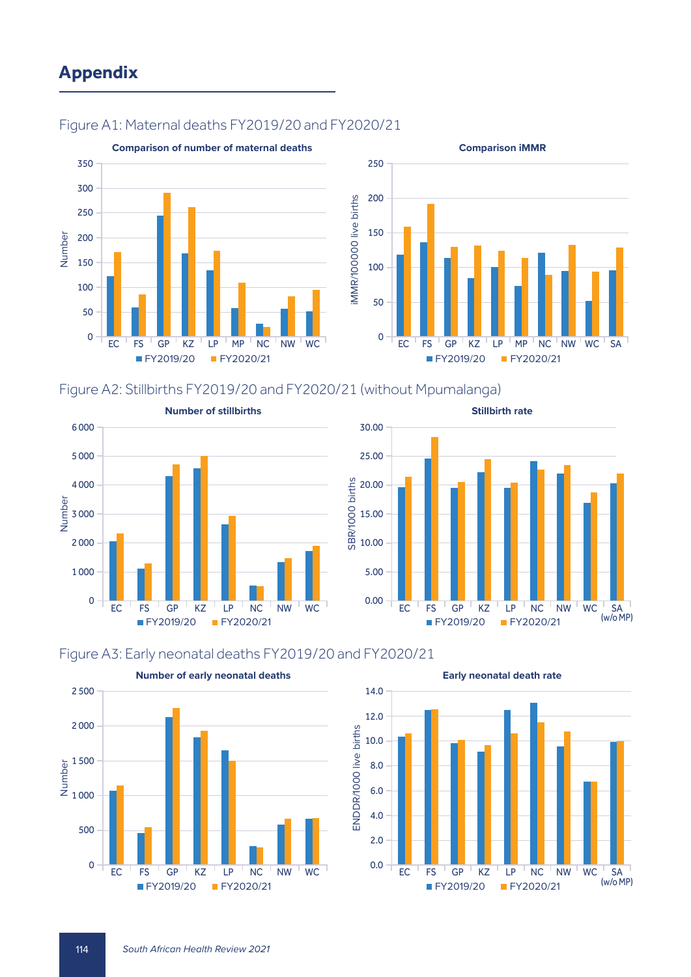# **Appendix**



# Figure A1: Maternal deaths FY2019/20 and FY2020/21



**Comparison iMMR**

### Figure A2: Stillbirths FY2019/20 and FY2020/21 (without Mpumalanga)





### Figure A3: Early neonatal deaths FY2019/20 and FY2020/21





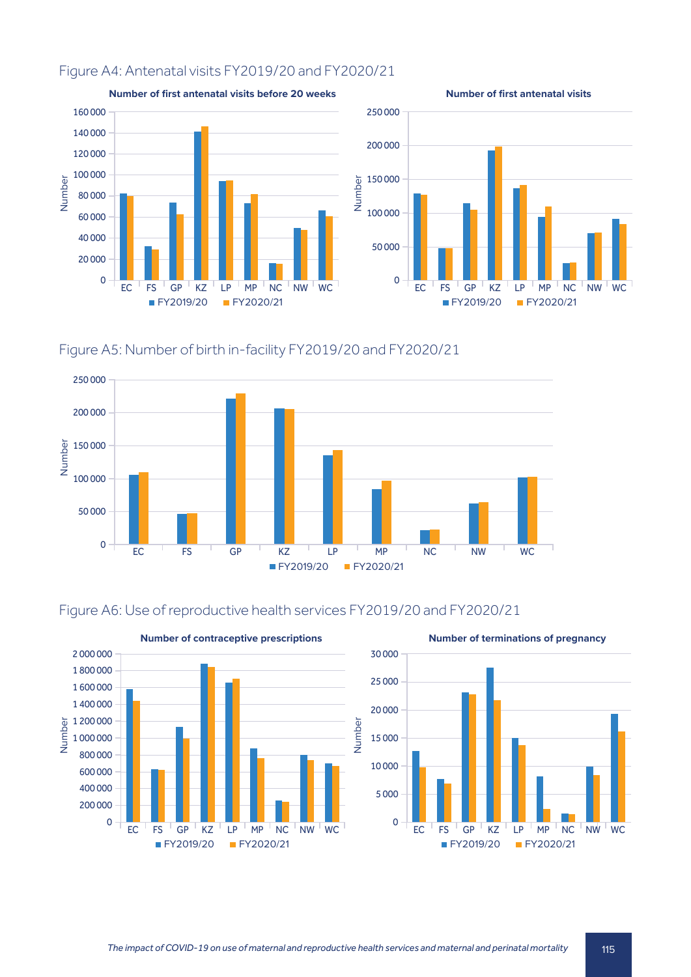# Figure A4: Antenatal visits FY2019/20 and FY2020/21



Figure A5: Number of birth in-facility FY2019/20 and FY2020/21





# Figure A6: Use of reproductive health services FY2019/20 and FY2020/21

FY2019/20 FY2020/21

FY2019/20 FY2020/21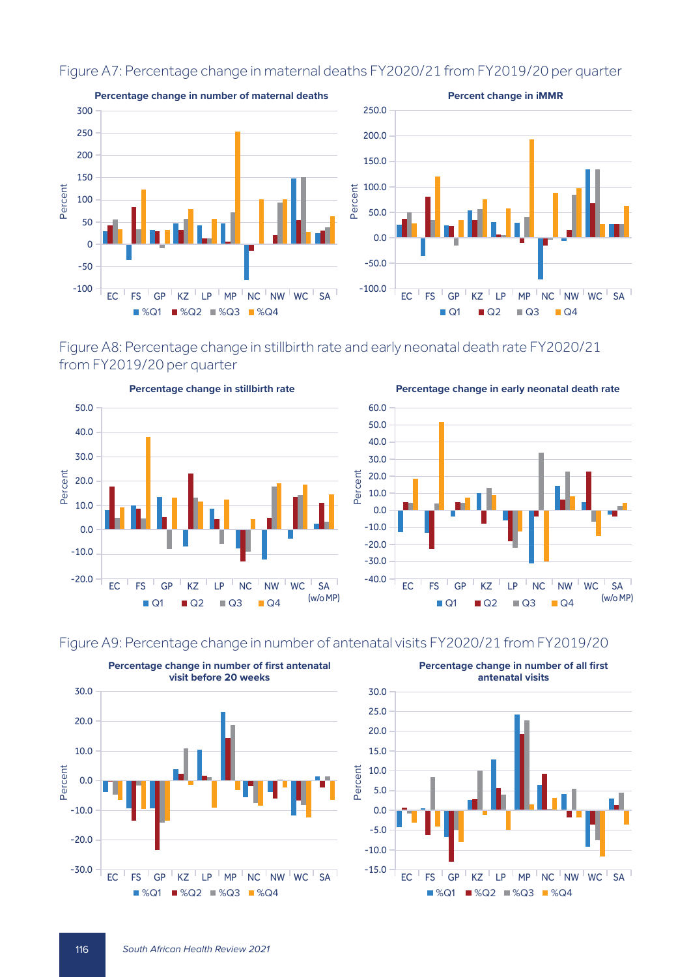

# Figure A7: Percentage change in maternal deaths FY2020/21 from FY2019/20 per quarter

Figure A8: Percentage change in stillbirth rate and early neonatal death rate FY2020/21 from FY2019/20 per quarter

60.0





**Percentage change in early neonatal death rate**



# Figure A9: Percentage change in number of antenatal visits FY2020/21 from FY2019/20

Percent



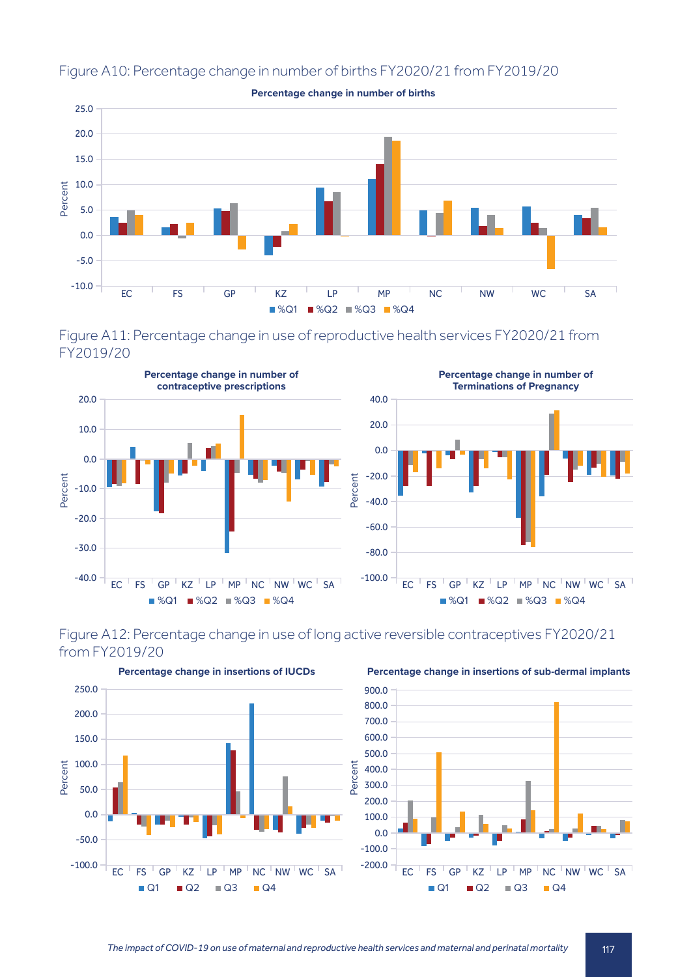

# Figure A10: Percentage change in number of births FY2020/21 from FY2019/20

**Percentage change in number of births**









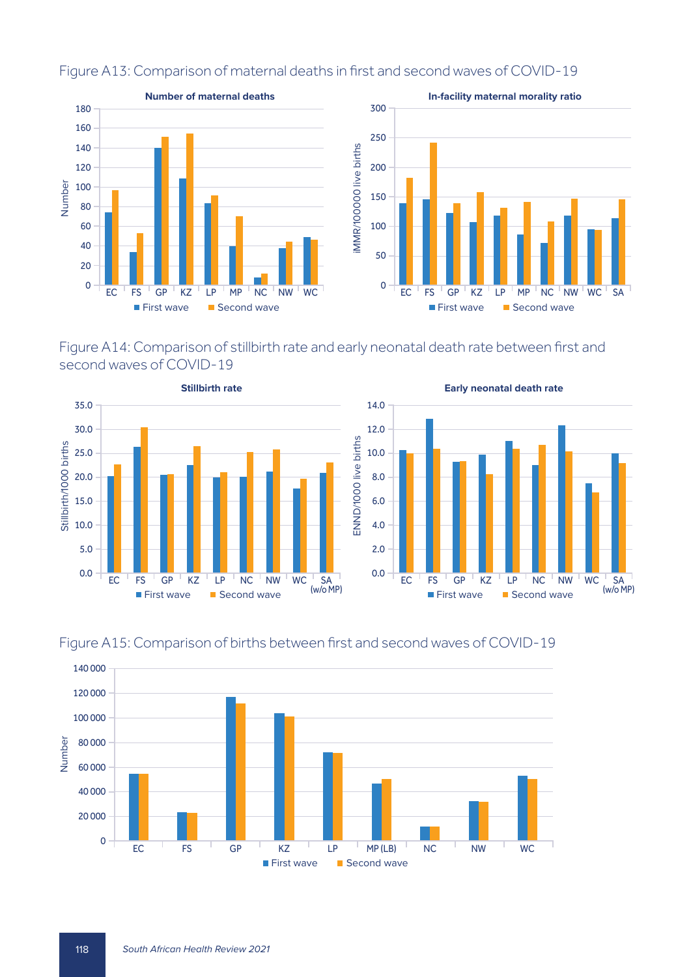

# Figure A13: Comparison of maternal deaths in first and second waves of COVID-19









# Figure A15: Comparison of births between first and second waves of COVID-19